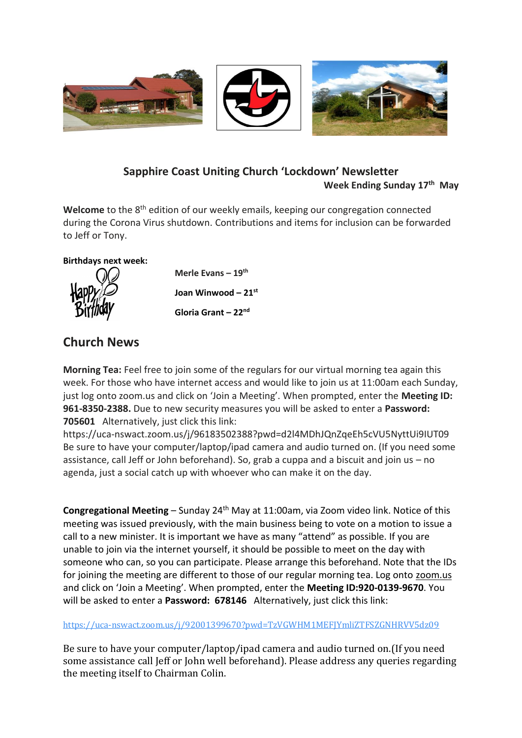

## **Sapphire Coast Uniting Church 'Lockdown' Newsletter Week Ending Sunday 17th May**

Welcome to the 8<sup>th</sup> edition of our weekly emails, keeping our congregation connected during the Corona Virus shutdown. Contributions and items for inclusion can be forwarded to Jeff or Tony.

### **Birthdays next week:**



**Merle Evans – 19th Joan Winwood – 21st Gloria Grant – 22nd**

# **Church News**

**Morning Tea:** Feel free to join some of the regulars for our virtual morning tea again this week. For those who have internet access and would like to join us at 11:00am each Sunday, just log onto zoom.us and click on 'Join a Meeting'. When prompted, enter the **Meeting ID: 961-8350-2388.** Due to new security measures you will be asked to enter a **Password: 705601** Alternatively, just click this link:

https://uca-nswact.zoom.us/j/96183502388?pwd=d2l4MDhJQnZqeEh5cVU5NyttUi9IUT09 Be sure to have your computer/laptop/ipad camera and audio turned on. (If you need some assistance, call Jeff or John beforehand). So, grab a cuppa and a biscuit and join us – no agenda, just a social catch up with whoever who can make it on the day.

**Congregational Meeting** – Sunday 24<sup>th</sup> May at 11:00am, via Zoom video link. Notice of this meeting was issued previously, with the main business being to vote on a motion to issue a call to a new minister. It is important we have as many "attend" as possible. If you are unable to join via the internet yourself, it should be possible to meet on the day with someone who can, so you can participate. Please arrange this beforehand. Note that the IDs for joining the meeting are different to those of our regular morning tea. Log onto zoom.us and click on 'Join a Meeting'. When prompted, enter the **Meeting ID:920-0139-9670**. You will be asked to enter a **Password: 678146** Alternatively, just click this link:

<https://uca-nswact.zoom.us/j/92001399670?pwd=TzVGWHM1MEFJYmliZTFSZGNHRVV5dz09>

Be sure to have your computer/laptop/ipad camera and audio turned on.(If you need some assistance call Jeff or John well beforehand). Please address any queries regarding the meeting itself to Chairman Colin.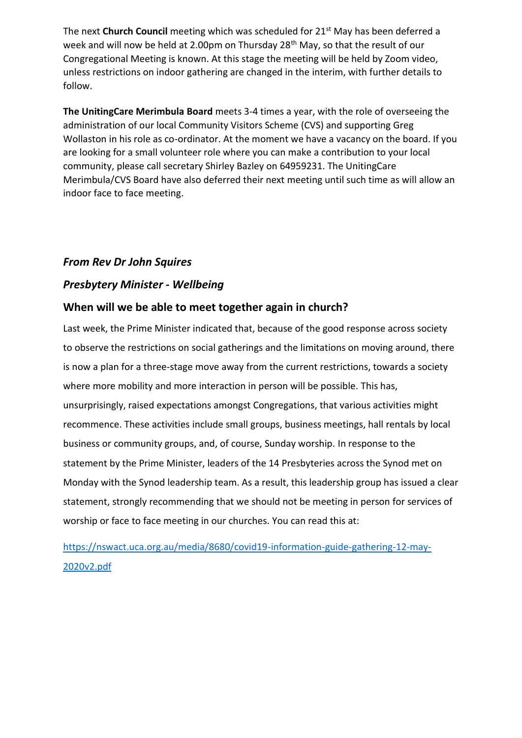The next **Church Council** meeting which was scheduled for 21st May has been deferred a week and will now be held at 2.00pm on Thursday 28<sup>th</sup> May, so that the result of our Congregational Meeting is known. At this stage the meeting will be held by Zoom video, unless restrictions on indoor gathering are changed in the interim, with further details to follow.

**The UnitingCare Merimbula Board** meets 3-4 times a year, with the role of overseeing the administration of our local Community Visitors Scheme (CVS) and supporting Greg Wollaston in his role as co-ordinator. At the moment we have a vacancy on the board. If you are looking for a small volunteer role where you can make a contribution to your local community, please call secretary Shirley Bazley on 64959231. The UnitingCare Merimbula/CVS Board have also deferred their next meeting until such time as will allow an indoor face to face meeting.

## *From Rev Dr John Squires*

## *Presbytery Minister - Wellbeing*

## **When will we be able to meet together again in church?**

Last week, the Prime Minister indicated that, because of the good response across society to observe the restrictions on social gatherings and the limitations on moving around, there is now a plan for a three-stage move away from the current restrictions, towards a society where more mobility and more interaction in person will be possible. This has, unsurprisingly, raised expectations amongst Congregations, that various activities might recommence. These activities include small groups, business meetings, hall rentals by local business or community groups, and, of course, Sunday worship. In response to the statement by the Prime Minister, leaders of the 14 Presbyteries across the Synod met on Monday with the Synod leadership team. As a result, this leadership group has issued a clear statement, strongly recommending that we should not be meeting in person for services of worship or face to face meeting in our churches. You can read this at:

[https://nswact.uca.org.au/media/8680/covid19-information-guide-gathering-12-may-](https://nswact.uca.org.au/media/8680/covid19-information-guide-gathering-12-may-2020v2.pdf)[2020v2.pdf](https://nswact.uca.org.au/media/8680/covid19-information-guide-gathering-12-may-2020v2.pdf)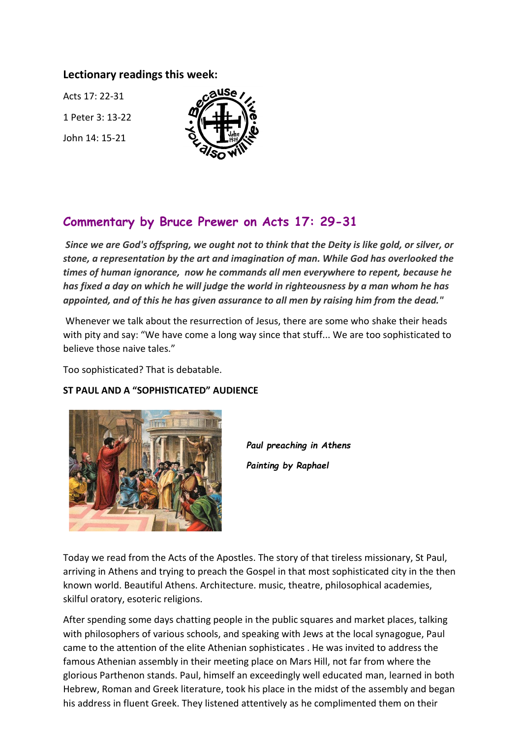### **Lectionary readings this week:**

Acts 17: 22-31 1 Peter 3: 13-22 John 14: 15-21



## **Commentary by Bruce Prewer on Acts 17: 29-31**

*Since we are God's offspring, we ought not to think that the Deity is like gold, or silver, or stone, a representation by the art and imagination of man. While God has overlooked the times of human ignorance, now he commands all men everywhere to repent, because he has fixed a day on which he will judge the world in righteousness by a man whom he has appointed, and of this he has given assurance to all men by raising him from the dead."* 

Whenever we talk about the resurrection of Jesus, there are some who shake their heads with pity and say: "We have come a long way since that stuff... We are too sophisticated to believe those naive tales."

Too sophisticated? That is debatable.

#### **ST PAUL AND A "SOPHISTICATED" AUDIENCE**



*Paul preaching in Athens Painting by Raphael*

Today we read from the Acts of the Apostles. The story of that tireless missionary, St Paul, arriving in Athens and trying to preach the Gospel in that most sophisticated city in the then known world. Beautiful Athens. Architecture. music, theatre, philosophical academies, skilful oratory, esoteric religions.

After spending some days chatting people in the public squares and market places, talking with philosophers of various schools, and speaking with Jews at the local synagogue, Paul came to the attention of the elite Athenian sophisticates . He was invited to address the famous Athenian assembly in their meeting place on Mars Hill, not far from where the glorious Parthenon stands. Paul, himself an exceedingly well educated man, learned in both Hebrew, Roman and Greek literature, took his place in the midst of the assembly and began his address in fluent Greek. They listened attentively as he complimented them on their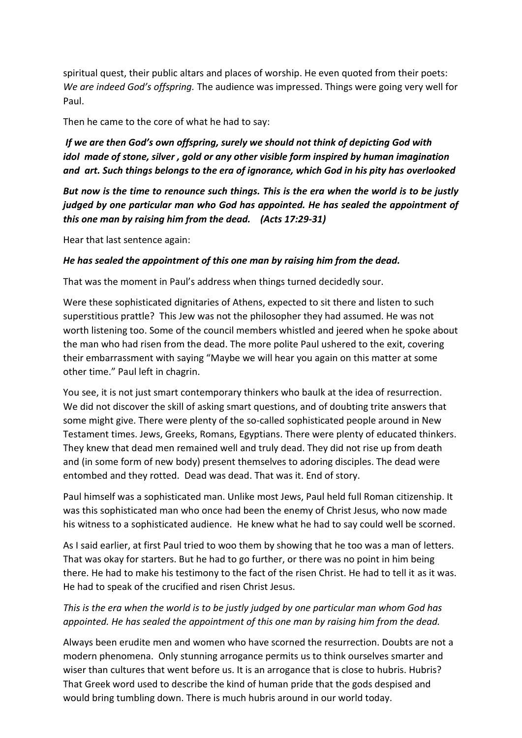spiritual quest, their public altars and places of worship. He even quoted from their poets: *We are indeed God's offspring.* The audience was impressed. Things were going very well for Paul.

Then he came to the core of what he had to say:

*If we are then God's own offspring, surely we should not think of depicting God with idol made of stone, silver , gold or any other visible form inspired by human imagination and art. Such things belongs to the era of ignorance, which God in his pity has overlooked*

*But now is the time to renounce such things. This is the era when the world is to be justly judged by one particular man who God has appointed. He has sealed the appointment of this one man by raising him from the dead. (Acts 17:29-31)*

Hear that last sentence again:

#### *He has sealed the appointment of this one man by raising him from the dead.*

That was the moment in Paul's address when things turned decidedly sour.

Were these sophisticated dignitaries of Athens, expected to sit there and listen to such superstitious prattle? This Jew was not the philosopher they had assumed. He was not worth listening too. Some of the council members whistled and jeered when he spoke about the man who had risen from the dead. The more polite Paul ushered to the exit, covering their embarrassment with saying "Maybe we will hear you again on this matter at some other time." Paul left in chagrin.

You see, it is not just smart contemporary thinkers who baulk at the idea of resurrection. We did not discover the skill of asking smart questions, and of doubting trite answers that some might give. There were plenty of the so-called sophisticated people around in New Testament times. Jews, Greeks, Romans, Egyptians. There were plenty of educated thinkers. They knew that dead men remained well and truly dead. They did not rise up from death and (in some form of new body) present themselves to adoring disciples. The dead were entombed and they rotted. Dead was dead. That was it. End of story.

Paul himself was a sophisticated man. Unlike most Jews, Paul held full Roman citizenship. It was this sophisticated man who once had been the enemy of Christ Jesus, who now made his witness to a sophisticated audience. He knew what he had to say could well be scorned.

As I said earlier, at first Paul tried to woo them by showing that he too was a man of letters. That was okay for starters. But he had to go further, or there was no point in him being there. He had to make his testimony to the fact of the risen Christ. He had to tell it as it was. He had to speak of the crucified and risen Christ Jesus.

### *This is the era when the world is to be justly judged by one particular man whom God has appointed. He has sealed the appointment of this one man by raising him from the dead.*

Always been erudite men and women who have scorned the resurrection. Doubts are not a modern phenomena. Only stunning arrogance permits us to think ourselves smarter and wiser than cultures that went before us. It is an arrogance that is close to hubris. Hubris? That Greek word used to describe the kind of human pride that the gods despised and would bring tumbling down. There is much hubris around in our world today.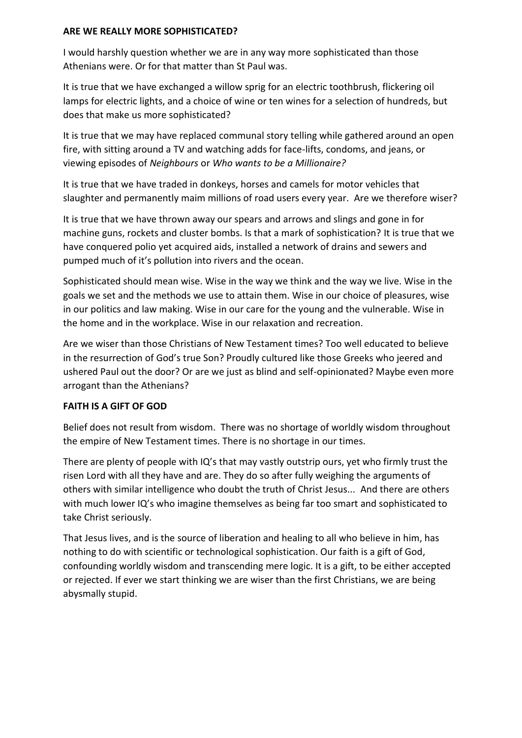#### **ARE WE REALLY MORE SOPHISTICATED?**

I would harshly question whether we are in any way more sophisticated than those Athenians were. Or for that matter than St Paul was.

It is true that we have exchanged a willow sprig for an electric toothbrush, flickering oil lamps for electric lights, and a choice of wine or ten wines for a selection of hundreds, but does that make us more sophisticated?

It is true that we may have replaced communal story telling while gathered around an open fire, with sitting around a TV and watching adds for face-lifts, condoms, and jeans, or viewing episodes of *Neighbours* or *Who wants to be a Millionaire?*

It is true that we have traded in donkeys, horses and camels for motor vehicles that slaughter and permanently maim millions of road users every year. Are we therefore wiser?

It is true that we have thrown away our spears and arrows and slings and gone in for machine guns, rockets and cluster bombs. Is that a mark of sophistication? It is true that we have conquered polio yet acquired aids, installed a network of drains and sewers and pumped much of it's pollution into rivers and the ocean.

Sophisticated should mean wise. Wise in the way we think and the way we live. Wise in the goals we set and the methods we use to attain them. Wise in our choice of pleasures, wise in our politics and law making. Wise in our care for the young and the vulnerable. Wise in the home and in the workplace. Wise in our relaxation and recreation.

Are we wiser than those Christians of New Testament times? Too well educated to believe in the resurrection of God's true Son? Proudly cultured like those Greeks who jeered and ushered Paul out the door? Or are we just as blind and self-opinionated? Maybe even more arrogant than the Athenians?

#### **FAITH IS A GIFT OF GOD**

Belief does not result from wisdom. There was no shortage of worldly wisdom throughout the empire of New Testament times. There is no shortage in our times.

There are plenty of people with IQ's that may vastly outstrip ours, yet who firmly trust the risen Lord with all they have and are. They do so after fully weighing the arguments of others with similar intelligence who doubt the truth of Christ Jesus... And there are others with much lower IQ's who imagine themselves as being far too smart and sophisticated to take Christ seriously.

That Jesus lives, and is the source of liberation and healing to all who believe in him, has nothing to do with scientific or technological sophistication. Our faith is a gift of God, confounding worldly wisdom and transcending mere logic. It is a gift, to be either accepted or rejected. If ever we start thinking we are wiser than the first Christians, we are being abysmally stupid.